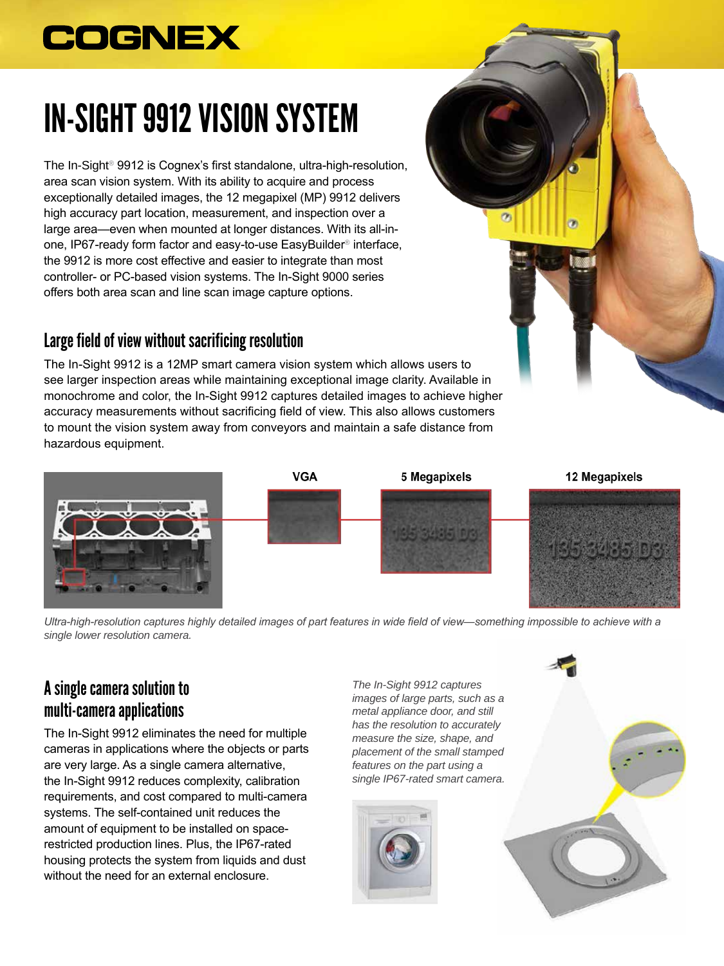## **COGNEX**

# IN-SIGHT 9912 VISION SYSTEM

The In-Sight® 9912 is Cognex's first standalone, ultra-high-resolution, area scan vision system. With its ability to acquire and process exceptionally detailed images, the 12 megapixel (MP) 9912 delivers high accuracy part location, measurement, and inspection over a large area—even when mounted at longer distances. With its all-inone, IP67-ready form factor and easy-to-use EasyBuilder® interface, the 9912 is more cost effective and easier to integrate than most controller- or PC-based vision systems. The In-Sight 9000 series offers both area scan and line scan image capture options.

#### Large field of view without sacrificing resolution

The In-Sight 9912 is a 12MP smart camera vision system which allows users to see larger inspection areas while maintaining exceptional image clarity. Available in monochrome and color, the In-Sight 9912 captures detailed images to achieve higher accuracy measurements without sacrificing field of view. This also allows customers to mount the vision system away from conveyors and maintain a safe distance from hazardous equipment.



*Ultra-high-resolution captures highly detailed images of part features in wide field of view*—*something impossible to achieve with a single lower resolution camera.*

### A single camera solution to multi-camera applications

The In-Sight 9912 eliminates the need for multiple cameras in applications where the objects or parts are very large. As a single camera alternative, the In-Sight 9912 reduces complexity, calibration requirements, and cost compared to multi-camera systems. The self-contained unit reduces the amount of equipment to be installed on spacerestricted production lines. Plus, the IP67-rated housing protects the system from liquids and dust without the need for an external enclosure.

*The In-Sight 9912 captures images of large parts, such as a metal appliance door, and still has the resolution to accurately measure the size, shape, and placement of the small stamped features on the part using a single IP67-rated smart camera.*



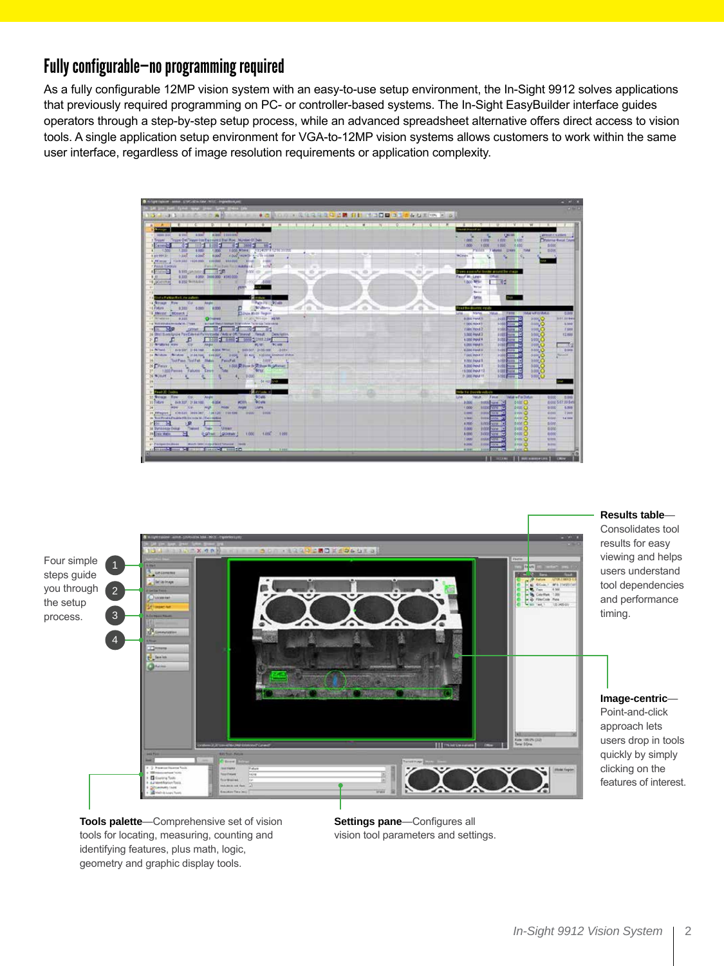#### Fully configurable—no programming required

As a fully configurable 12MP vision system with an easy-to-use setup environment, the In-Sight 9912 solves applications that previously required programming on PC- or controller-based systems. The In-Sight EasyBuilder interface guides operators through a step-by-step setup process, while an advanced spreadsheet alternative offers direct access to vision tools. A single application setup environment for VGA-to-12MP vision systems allows customers to work within the same user interface, regardless of image resolution requirements or application complexity.





**Tools palette**—Comprehensive set of vision tools for locating, measuring, counting and identifying features, plus math, logic, geometry and graphic display tools.

**Settings pane**—Configures all vision tool parameters and settings.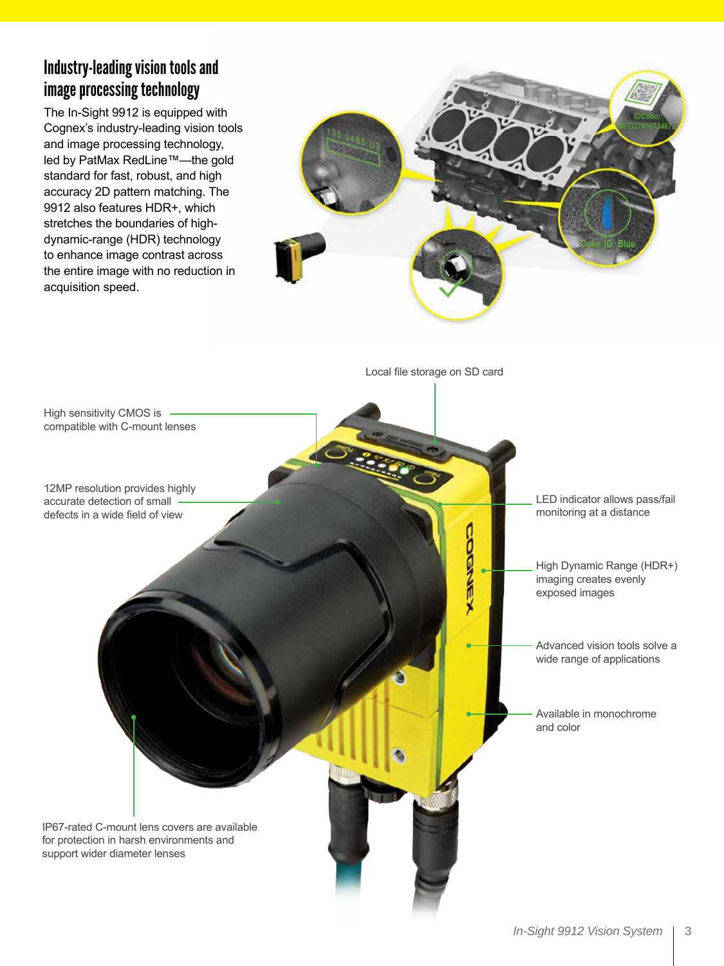#### Industry-leading vision tools and image processing technology

The In-Sight 9912 is equipped with Cognex's industry-leading vision tools and image processing technology, led by PatMax RedLine™—the gold standard for fast, robust, and high accuracy 2D pattern matching. The 9912 also features HDR+, which stretches the boundaries of highdynamic-range (HDR) technology to enhance image contrast across the entire image with no reduction in acquisition speed.



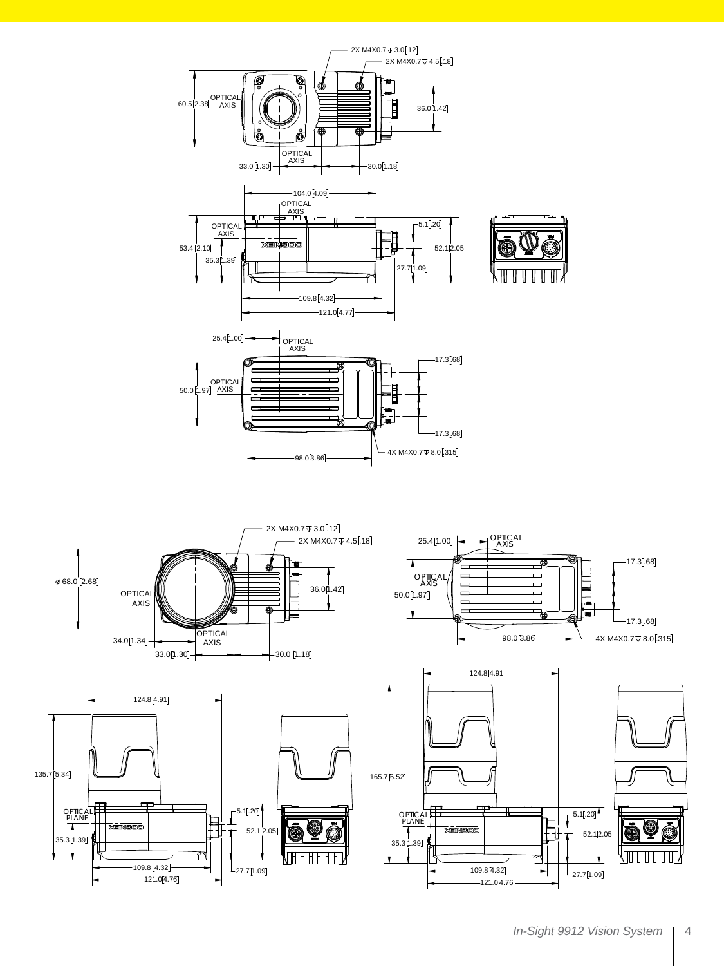